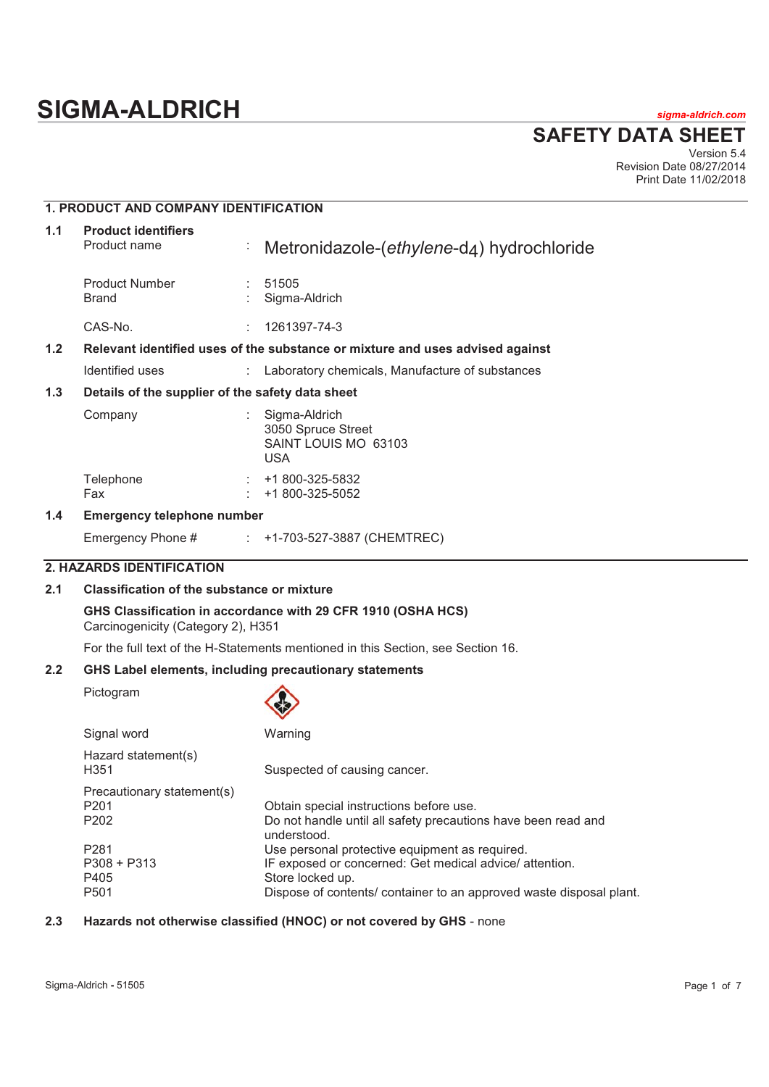# **SIGMA-ALDRICH** *sigma-aldrich.com*

**SAFETY DATA SHEET**

Version 5.4 Revision Date 08/27/2014 Print Date 11/02/2018

# **1. PRODUCT AND COMPANY IDENTIFICATION**

| 1.1                                                                                               | <b>Product identifiers</b><br>Product name       | Þ, | Metronidazole-(ethylene-d4) hydrochloride                                 |  |
|---------------------------------------------------------------------------------------------------|--------------------------------------------------|----|---------------------------------------------------------------------------|--|
|                                                                                                   | <b>Product Number</b><br>Brand                   |    | 51505<br>Sigma-Aldrich                                                    |  |
|                                                                                                   | CAS-No.                                          |    | 1261397-74-3                                                              |  |
| 1.2 <sub>2</sub><br>Relevant identified uses of the substance or mixture and uses advised against |                                                  |    |                                                                           |  |
|                                                                                                   | Identified uses                                  |    | Laboratory chemicals, Manufacture of substances                           |  |
| 1.3                                                                                               | Details of the supplier of the safety data sheet |    |                                                                           |  |
|                                                                                                   | Company                                          |    | Sigma-Aldrich<br>3050 Spruce Street<br>SAINT LOUIS MO 63103<br><b>USA</b> |  |
|                                                                                                   | Telephone<br>Fax                                 |    | +1 800-325-5832<br>+1 800-325-5052                                        |  |
| 1.4                                                                                               | <b>Emergency telephone number</b>                |    |                                                                           |  |

Emergency Phone # : +1-703-527-3887 (CHEMTREC)

## **2. HAZARDS IDENTIFICATION**

# **2.1 Classification of the substance or mixture**

**GHS Classification in accordance with 29 CFR 1910 (OSHA HCS)**  Carcinogenicity (Category 2), H351

For the full text of the H-Statements mentioned in this Section, see Section 16.

# **2.2 GHS Label elements, including precautionary statements**

Pictogram

|                                            | $\checkmark$                                                                                                                                                                                         |
|--------------------------------------------|------------------------------------------------------------------------------------------------------------------------------------------------------------------------------------------------------|
| Signal word                                | Warning                                                                                                                                                                                              |
| Hazard statement(s)<br>H351                | Suspected of causing cancer.                                                                                                                                                                         |
| Precautionary statement(s)<br>P201<br>P202 | Obtain special instructions before use.<br>Do not handle until all safety precautions have been read and<br>understood.                                                                              |
| P281<br>P308 + P313<br>P405<br>P501        | Use personal protective equipment as required.<br>IF exposed or concerned: Get medical advice/ attention.<br>Store locked up.<br>Dispose of contents/ container to an approved waste disposal plant. |

#### **2.3 Hazards not otherwise classified (HNOC) or not covered by GHS** - none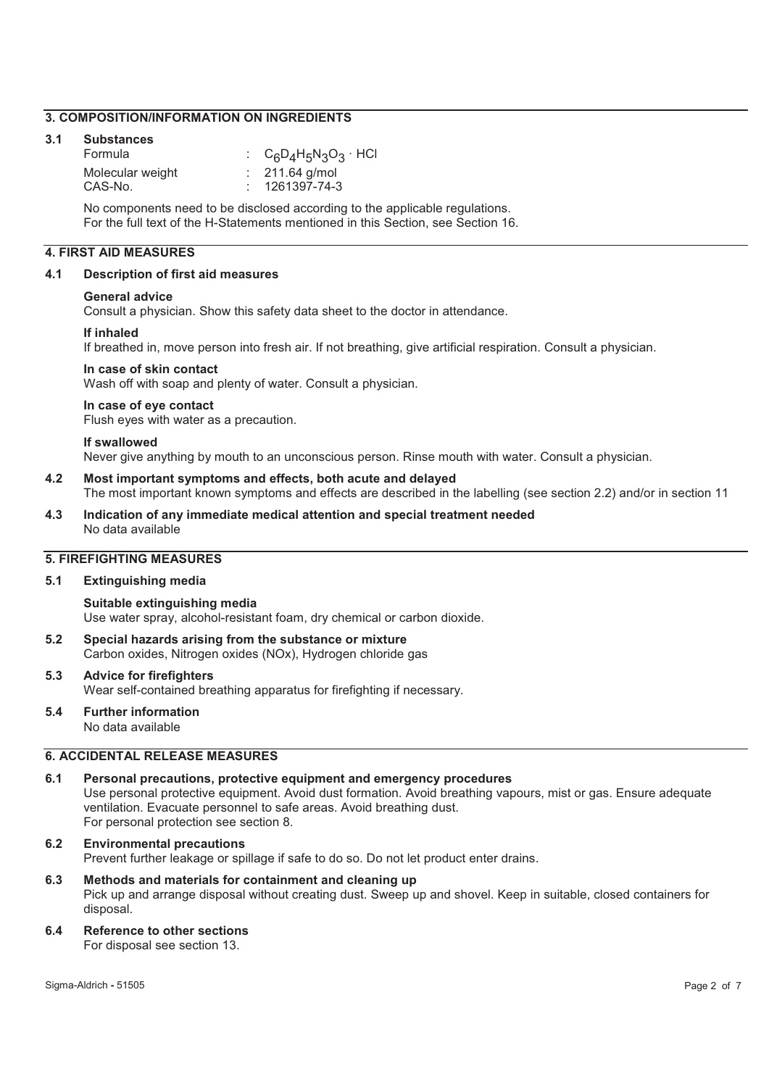#### **3. COMPOSITION/INFORMATION ON INGREDIENTS**

#### **3.1 Substances**

| Formula          | : $C_6D_4H_5N_3O_3 \cdot HCl$ |
|------------------|-------------------------------|
| Molecular weight | $: 211.64$ g/mol              |
| CAS-No.          | $: 1261397 - 74 - 3$          |

No components need to be disclosed according to the applicable regulations. For the full text of the H-Statements mentioned in this Section, see Section 16.

# **4. FIRST AID MEASURES**

#### **4.1 Description of first aid measures**

#### **General advice**

Consult a physician. Show this safety data sheet to the doctor in attendance.

#### **If inhaled**

If breathed in, move person into fresh air. If not breathing, give artificial respiration. Consult a physician.

#### **In case of skin contact**

Wash off with soap and plenty of water. Consult a physician.

#### **In case of eye contact**

Flush eyes with water as a precaution.

#### **If swallowed**

Never give anything by mouth to an unconscious person. Rinse mouth with water. Consult a physician.

# **4.2 Most important symptoms and effects, both acute and delayed**

The most important known symptoms and effects are described in the labelling (see section 2.2) and/or in section 11

**4.3 Indication of any immediate medical attention and special treatment needed**  No data available

#### **5. FIREFIGHTING MEASURES**

# **5.1 Extinguishing media**

**Suitable extinguishing media**  Use water spray, alcohol-resistant foam, dry chemical or carbon dioxide.

- **5.2 Special hazards arising from the substance or mixture**  Carbon oxides, Nitrogen oxides (NOx), Hydrogen chloride gas
- **5.3 Advice for firefighters**  Wear self-contained breathing apparatus for firefighting if necessary.

#### **5.4 Further information**  No data available

#### **6. ACCIDENTAL RELEASE MEASURES**

**6.1 Personal precautions, protective equipment and emergency procedures**  Use personal protective equipment. Avoid dust formation. Avoid breathing vapours, mist or gas. Ensure adequate ventilation. Evacuate personnel to safe areas. Avoid breathing dust. For personal protection see section 8.

# **6.2 Environmental precautions**

Prevent further leakage or spillage if safe to do so. Do not let product enter drains.

# **6.3 Methods and materials for containment and cleaning up**  Pick up and arrange disposal without creating dust. Sweep up and shovel. Keep in suitable, closed containers for disposal.

**6.4 Reference to other sections** 

For disposal see section 13.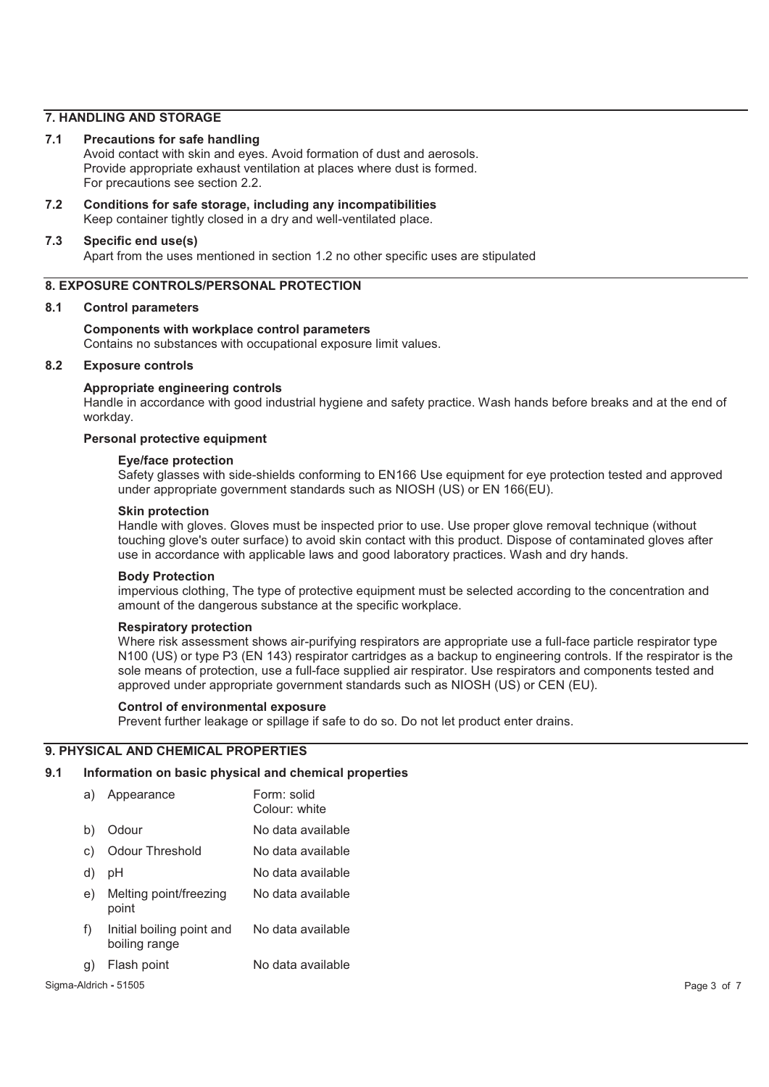#### **7. HANDLING AND STORAGE**

#### **7.1 Precautions for safe handling**

Avoid contact with skin and eyes. Avoid formation of dust and aerosols. Provide appropriate exhaust ventilation at places where dust is formed. For precautions see section 2.2.

**7.2 Conditions for safe storage, including any incompatibilities**  Keep container tightly closed in a dry and well-ventilated place.

#### **7.3 Specific end use(s)**

Apart from the uses mentioned in section 1.2 no other specific uses are stipulated

#### **8. EXPOSURE CONTROLS/PERSONAL PROTECTION**

#### **8.1 Control parameters**

#### **Components with workplace control parameters**

Contains no substances with occupational exposure limit values.

#### **8.2 Exposure controls**

#### **Appropriate engineering controls**

Handle in accordance with good industrial hygiene and safety practice. Wash hands before breaks and at the end of workday.

#### **Personal protective equipment**

### **Eye/face protection**

Safety glasses with side-shields conforming to EN166 Use equipment for eye protection tested and approved under appropriate government standards such as NIOSH (US) or EN 166(EU).

#### **Skin protection**

Handle with gloves. Gloves must be inspected prior to use. Use proper glove removal technique (without touching glove's outer surface) to avoid skin contact with this product. Dispose of contaminated gloves after use in accordance with applicable laws and good laboratory practices. Wash and dry hands.

#### **Body Protection**

impervious clothing, The type of protective equipment must be selected according to the concentration and amount of the dangerous substance at the specific workplace.

#### **Respiratory protection**

Where risk assessment shows air-purifying respirators are appropriate use a full-face particle respirator type N100 (US) or type P3 (EN 143) respirator cartridges as a backup to engineering controls. If the respirator is the sole means of protection, use a full-face supplied air respirator. Use respirators and components tested and approved under appropriate government standards such as NIOSH (US) or CEN (EU).

#### **Control of environmental exposure**

Prevent further leakage or spillage if safe to do so. Do not let product enter drains.

#### **9. PHYSICAL AND CHEMICAL PROPERTIES**

# **9.1 Information on basic physical and chemical properties**

| a) | Appearance                                 | Form: solid<br>Colour: white |
|----|--------------------------------------------|------------------------------|
| b) | Odour                                      | No data available            |
| C) | Odour Threshold                            | No data available            |
| d) | рH                                         | No data available            |
| e) | Melting point/freezing<br>point            | No data available            |
| f) | Initial boiling point and<br>boiling range | No data available            |
| g) | Flash point                                | No data available            |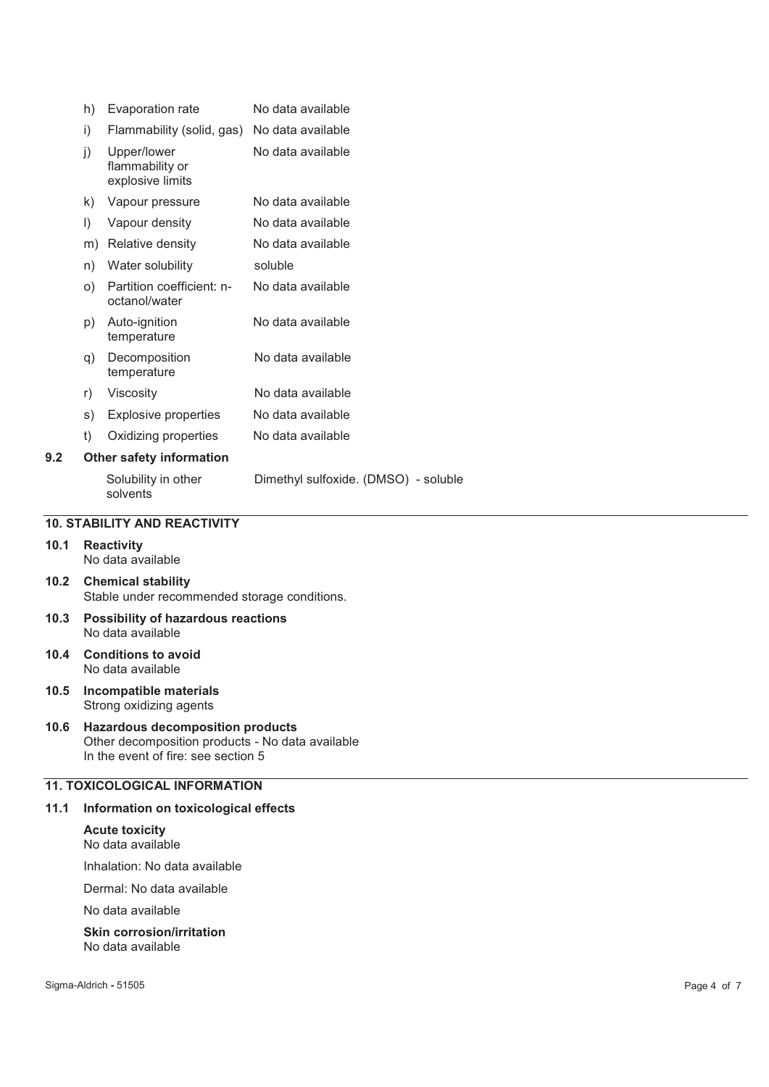|     | h)      | Evaporation rate                                   | No data available                    |
|-----|---------|----------------------------------------------------|--------------------------------------|
|     | i)      | Flammability (solid, gas)                          | No data available                    |
|     | j)      | Upper/lower<br>flammability or<br>explosive limits | No data available                    |
|     | k)      | Vapour pressure                                    | No data available                    |
|     | $\vert$ | Vapour density                                     | No data available                    |
|     | m)      | Relative density                                   | No data available                    |
|     | n)      | Water solubility                                   | soluble                              |
|     | O)      | Partition coefficient: n-<br>octanol/water         | No data available                    |
|     | p)      | Auto-ignition<br>temperature                       | No data available                    |
|     | q)      | Decomposition<br>temperature                       | No data available                    |
|     | r)      | Viscosity                                          | No data available                    |
|     | s)      | Explosive properties                               | No data available                    |
|     | t)      | Oxidizing properties                               | No data available                    |
| 9.2 |         | <b>Other safety information</b>                    |                                      |
|     |         | Solubility in other<br>solvents                    | Dimethyl sulfoxide. (DMSO) - soluble |

#### **10. STABILITY AND REACTIVITY**

#### **10.1 Reactivity**  No data available

**10.2 Chemical stability**  Stable under recommended storage conditions.

- **10.3 Possibility of hazardous reactions**  No data available
- **10.4 Conditions to avoid**  No data available
- **10.5 Incompatible materials**  Strong oxidizing agents

#### **10.6 Hazardous decomposition products**  Other decomposition products - No data available In the event of fire: see section 5

## **11. TOXICOLOGICAL INFORMATION**

#### **11.1 Information on toxicological effects**

#### **Acute toxicity**  No data available

Inhalation: No data available

Dermal: No data available

No data available

#### **Skin corrosion/irritation**  No data available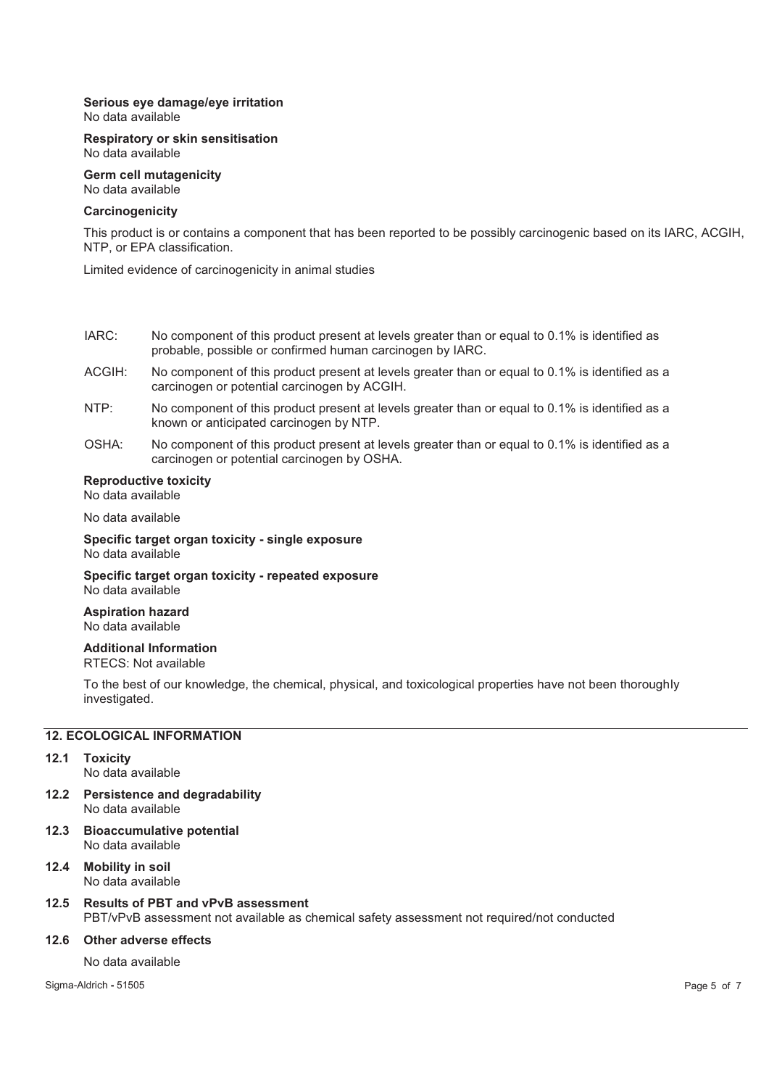# **Serious eye damage/eye irritation**

No data available

#### **Respiratory or skin sensitisation**  No data available

**Germ cell mutagenicity**  No data available

### **Carcinogenicity**

This product is or contains a component that has been reported to be possibly carcinogenic based on its IARC, ACGIH, NTP, or EPA classification.

Limited evidence of carcinogenicity in animal studies

- IARC: No component of this product present at levels greater than or equal to 0.1% is identified as probable, possible or confirmed human carcinogen by IARC.
- ACGIH: No component of this product present at levels greater than or equal to 0.1% is identified as a carcinogen or potential carcinogen by ACGIH.
- NTP: No component of this product present at levels greater than or equal to 0.1% is identified as a known or anticipated carcinogen by NTP.
- OSHA: No component of this product present at levels greater than or equal to 0.1% is identified as a carcinogen or potential carcinogen by OSHA.

# **Reproductive toxicity**

No data available

No data available

**Specific target organ toxicity - single exposure**  No data available

**Specific target organ toxicity - repeated exposure**  No data available

**Aspiration hazard**  No data available

# **Additional Information**

RTECS: Not available

To the best of our knowledge, the chemical, physical, and toxicological properties have not been thoroughly investigated.

# **12. ECOLOGICAL INFORMATION**

- **12.1 Toxicity**  No data available
- **12.2 Persistence and degradability**  No data available
- **12.3 Bioaccumulative potential**  No data available

# **12.4 Mobility in soil**

No data available

# **12.5 Results of PBT and vPvB assessment**

PBT/vPvB assessment not available as chemical safety assessment not required/not conducted

# **12.6 Other adverse effects**

No data available

Sigma-Aldrich **-** 51505 Page 5 of 7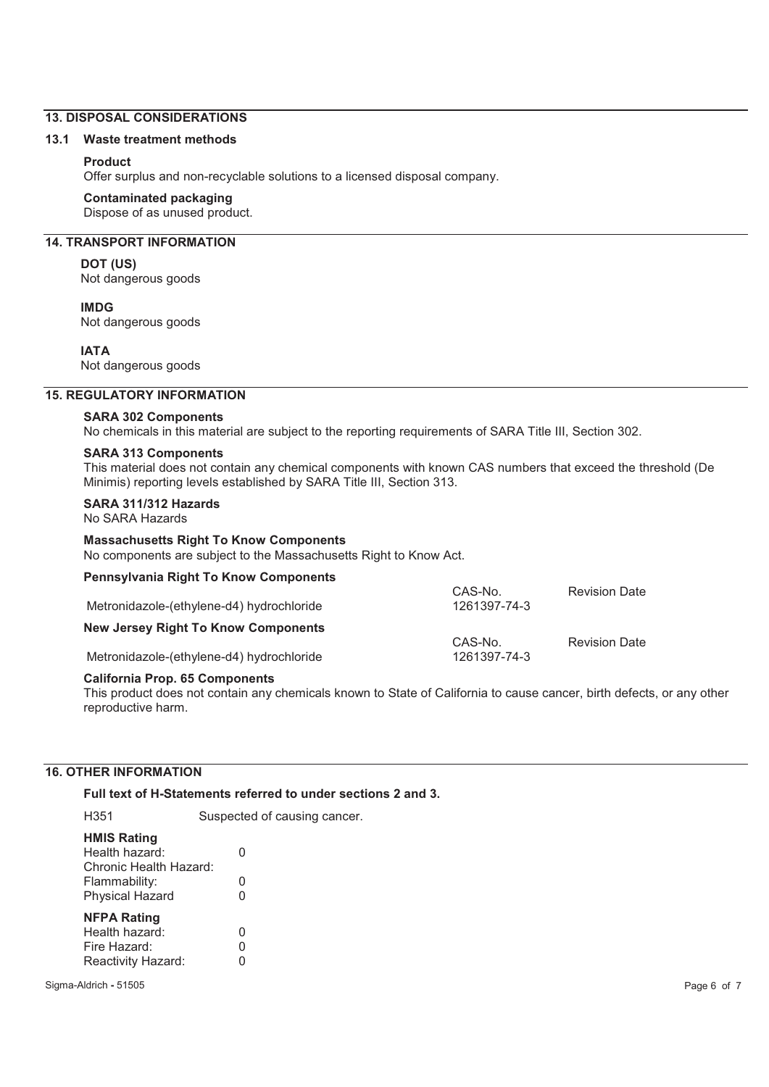## **13. DISPOSAL CONSIDERATIONS**

#### **13.1 Waste treatment methods**

## **Product**

Offer surplus and non-recyclable solutions to a licensed disposal company.

#### **Contaminated packaging**

Dispose of as unused product.

# **14. TRANSPORT INFORMATION**

#### **DOT (US)**

Not dangerous goods

#### **IMDG**

Not dangerous goods

## **IATA**

Not dangerous goods

#### **15. REGULATORY INFORMATION**

#### **SARA 302 Components**

No chemicals in this material are subject to the reporting requirements of SARA Title III, Section 302.

#### **SARA 313 Components**

This material does not contain any chemical components with known CAS numbers that exceed the threshold (De Minimis) reporting levels established by SARA Title III, Section 313.

# **SARA 311/312 Hazards**

No SARA Hazards

## **Massachusetts Right To Know Components**

No components are subject to the Massachusetts Right to Know Act.

# **Pennsylvania Right To Know Components**

| Metronidazole-(ethylene-d4) hydrochloride  | CAS-No.<br>1261397-74-3 | <b>Revision Date</b> |
|--------------------------------------------|-------------------------|----------------------|
| <b>New Jersey Right To Know Components</b> |                         |                      |
| Metronidazole-(ethylene-d4) hydrochloride  | CAS-No.<br>1261397-74-3 | <b>Revision Date</b> |
|                                            |                         |                      |

#### **California Prop. 65 Components**

This product does not contain any chemicals known to State of California to cause cancer, birth defects, or any other reproductive harm.

# **16. OTHER INFORMATION**

**Full text of H-Statements referred to under sections 2 and 3.** 

| H351                                                                       | Suspected of causing cancer. |
|----------------------------------------------------------------------------|------------------------------|
| <b>HMIS Rating</b><br>Health hazard:<br>Chronic Health Hazard:             | ი                            |
| Flammability:                                                              | 0                            |
| <b>Physical Hazard</b>                                                     | 0                            |
| <b>NFPA Rating</b><br>Health hazard:<br>Fire Hazard:<br>Reactivity Hazard: | ი<br>Ω                       |